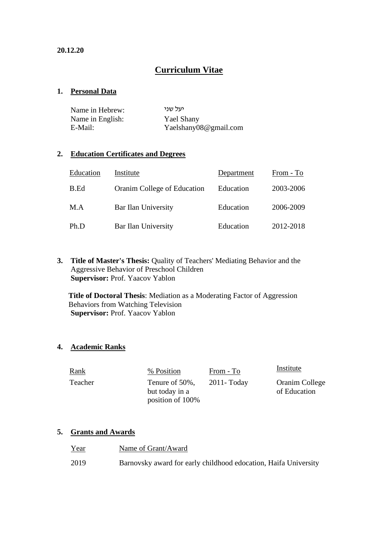## **Curriculum Vitae**

#### **1. Personal Data**

| Name in Hebrew:  | יעל שני               |
|------------------|-----------------------|
| Name in English: | Yael Shany            |
| E-Mail:          | Yaelshany08@gmail.com |

#### **2. Education Certificates and Degrees**

| Education | Institute                   | Department | From - To |
|-----------|-----------------------------|------------|-----------|
| B.Ed      | Oranim College of Education | Education  | 2003-2006 |
| M.A       | Bar Ilan University         | Education  | 2006-2009 |
| Ph.D      | Bar Ilan University         | Education  | 2012-2018 |

#### **3. Title of Master's Thesis:** Quality of Teachers' Mediating Behavior and the Aggressive Behavior of Preschool Children **Supervisor:** Prof. Yaacov Yablon

**Title of Doctoral Thesis**: Mediation as a Moderating Factor of Aggression Behaviors from Watching Television **Supervisor:** Prof. Yaacov Yablon

#### **4. Academic Ranks**

| <u>Rank</u> | % Position                                           | From - To      | Institute                      |
|-------------|------------------------------------------------------|----------------|--------------------------------|
| Teacher     | Tenure of 50%,<br>but today in a<br>position of 100% | $2011 - Today$ | Oranim College<br>of Education |

#### **5. Grants and Awards**

| <u>Year</u> | Name of Grant/Award                                             |
|-------------|-----------------------------------------------------------------|
| 2019        | Barnovsky award for early childhood edocation, Haifa University |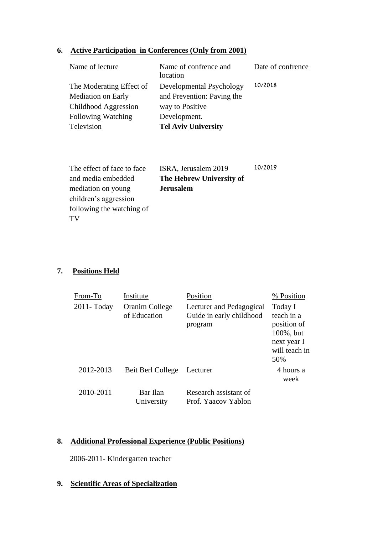## **6. Active Participation in Conferences (Only from 2001)**

| Name of lecture           | Name of confrence and<br>location | Date of confrence |
|---------------------------|-----------------------------------|-------------------|
| The Moderating Effect of  | Developmental Psychology          | 10/2018           |
| <b>Mediation on Early</b> | and Prevention: Paving the        |                   |
| Childhood Aggression      | way to Positive                   |                   |
| Following Watching        | Development.                      |                   |
| Television                | <b>Tel Aviv University</b>        |                   |

| The effect of face to face. | ISRA, Jerusalem 2019     | 10/2019 |
|-----------------------------|--------------------------|---------|
| and media embedded          | The Hebrew University of |         |
| mediation on young          | <b>Jerusalem</b>         |         |
| children's aggression       |                          |         |
| following the watching of   |                          |         |
| TV                          |                          |         |

## **7. Positions Held**

| From-To     | Institute                      | Position                                                        | % Position                                                                               |
|-------------|--------------------------------|-----------------------------------------------------------------|------------------------------------------------------------------------------------------|
| 2011- Today | Oranim College<br>of Education | Lecturer and Pedagogical<br>Guide in early childhood<br>program | Today I<br>teach in a<br>position of<br>100%, but<br>next year I<br>will teach in<br>50% |
| 2012-2013   | Beit Berl College              | Lecturer                                                        | 4 hours a<br>week                                                                        |
| 2010-2011   | Bar Ilan<br>University         | Research assistant of<br>Prof. Yaacov Yablon                    |                                                                                          |

## **8. Additional Professional Experience (Public Positions)**

2006-2011- Kindergarten teacher

## **9. Scientific Areas of Specialization**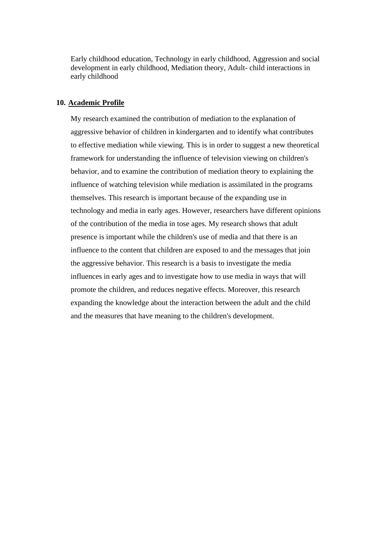Early childhood education, Technology in early childhood, Aggression and social development in early childhood, Mediation theory, Adult- child interactions in early childhood

#### **10. Academic Profile**

My research examined the contribution of mediation to the explanation of aggressive behavior of children in kindergarten and to identify what contributes to effective mediation while viewing. This is in order to suggest a new theoretical framework for understanding the influence of television viewing on children's behavior, and to examine the contribution of mediation theory to explaining the influence of watching television while mediation is assimilated in the programs themselves. This research is important because of the expanding use in technology and media in early ages. However, researchers have different opinions of the contribution of the media in tose ages. My research shows that adult presence is important while the children's use of media and that there is an influence to the content that children are exposed to and the messages that join the aggressive behavior. This research is a basis to investigate the media influences in early ages and to investigate how to use media in ways that will promote the children, and reduces negative effects. Moreover, this research expanding the knowledge about the interaction between the adult and the child and the measures that have meaning to the children's development.